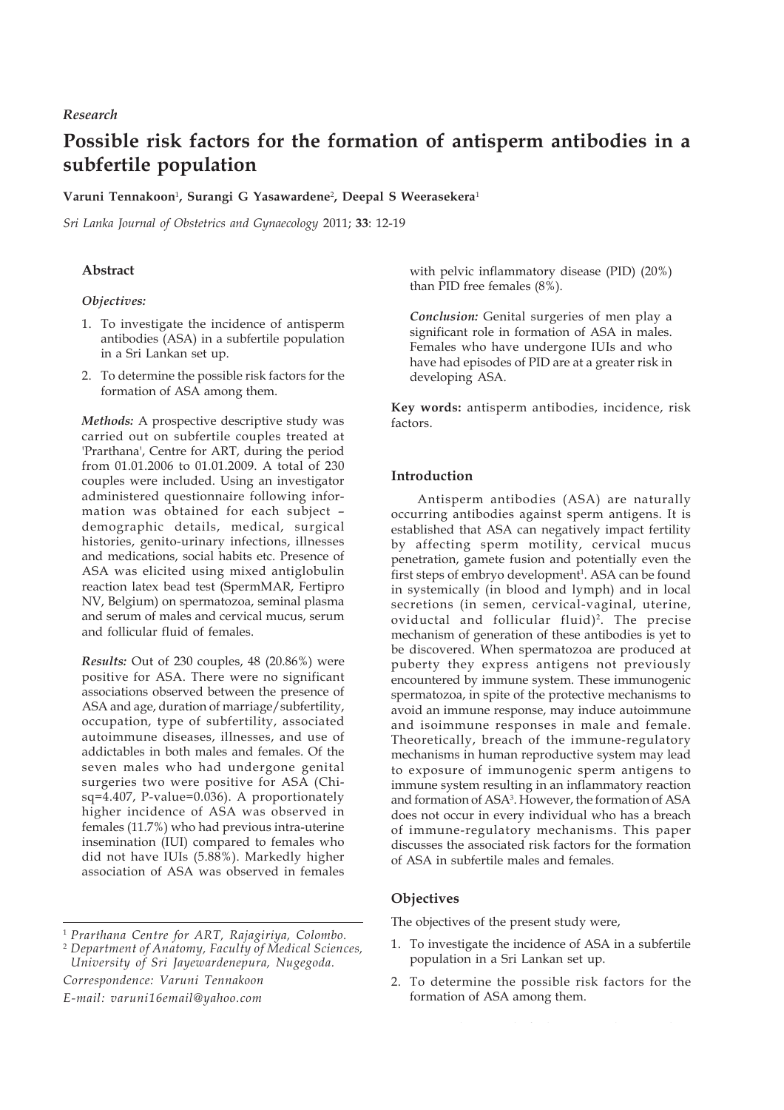# *Research*

# **Possible risk factors for the formation of antisperm antibodies in a subfertile population**

# **Varuni Tennakoon**<sup>1</sup> **, Surangi G Yasawardene**<sup>2</sup> **, Deepal S Weerasekera**<sup>1</sup>

*Sri Lanka Journal of Obstetrics and Gynaecology* 2011; **33**: 12-19

# **Abstract**

#### *Objectives:*

- 1. To investigate the incidence of antisperm antibodies (ASA) in a subfertile population in a Sri Lankan set up.
- 2. To determine the possible risk factors for the formation of ASA among them.

*Methods:* A prospective descriptive study was carried out on subfertile couples treated at 'Prarthana', Centre for ART, during the period from 01.01.2006 to 01.01.2009. A total of 230 couples were included. Using an investigator administered questionnaire following information was obtained for each subject – demographic details, medical, surgical histories, genito-urinary infections, illnesses and medications, social habits etc. Presence of ASA was elicited using mixed antiglobulin reaction latex bead test (SpermMAR, Fertipro NV, Belgium) on spermatozoa, seminal plasma and serum of males and cervical mucus, serum and follicular fluid of females.

*Results:* Out of 230 couples, 48 (20.86%) were positive for ASA. There were no significant associations observed between the presence of ASA and age, duration of marriage/subfertility, occupation, type of subfertility, associated autoimmune diseases, illnesses, and use of addictables in both males and females. Of the seven males who had undergone genital surgeries two were positive for ASA (Chisq=4.407, P-value=0.036). A proportionately higher incidence of ASA was observed in females (11.7%) who had previous intra-uterine insemination (IUI) compared to females who did not have IUIs (5.88%). Markedly higher association of ASA was observed in females

*Correspondence: Varuni Tennakoon E-mail: varuni16email@yahoo.com*

with pelvic inflammatory disease (PID) (20%) than PID free females (8%).

*Conclusion:* Genital surgeries of men play a significant role in formation of ASA in males. Females who have undergone IUIs and who have had episodes of PID are at a greater risk in developing ASA.

**Key words:** antisperm antibodies, incidence, risk factors.

## **Introduction**

Antisperm antibodies (ASA) are naturally occurring antibodies against sperm antigens. It is established that ASA can negatively impact fertility by affecting sperm motility, cervical mucus penetration, gamete fusion and potentially even the first steps of embryo development<sup>1</sup>. ASA can be found in systemically (in blood and lymph) and in local secretions (in semen, cervical-vaginal, uterine, oviductal and follicular fluid)<sup>2</sup>. The precise mechanism of generation of these antibodies is yet to be discovered. When spermatozoa are produced at puberty they express antigens not previously encountered by immune system. These immunogenic spermatozoa, in spite of the protective mechanisms to avoid an immune response, may induce autoimmune and isoimmune responses in male and female. Theoretically, breach of the immune-regulatory mechanisms in human reproductive system may lead to exposure of immunogenic sperm antigens to immune system resulting in an inflammatory reaction and formation of ASA3 . However, the formation of ASA does not occur in every individual who has a breach of immune-regulatory mechanisms. This paper discusses the associated risk factors for the formation of ASA in subfertile males and females.

## **Objectives**

The objectives of the present study were,

- 1. To investigate the incidence of ASA in a subfertile population in a Sri Lankan set up.
- 2. To determine the possible risk factors for the formation of ASA among them.

<sup>1</sup> *Prarthana Centre for ART, Rajagiriya, Colombo.*

<sup>2</sup> *Department of Anatomy, Faculty of Medical Sciences, University of Sri Jayewardenepura, Nugegoda.*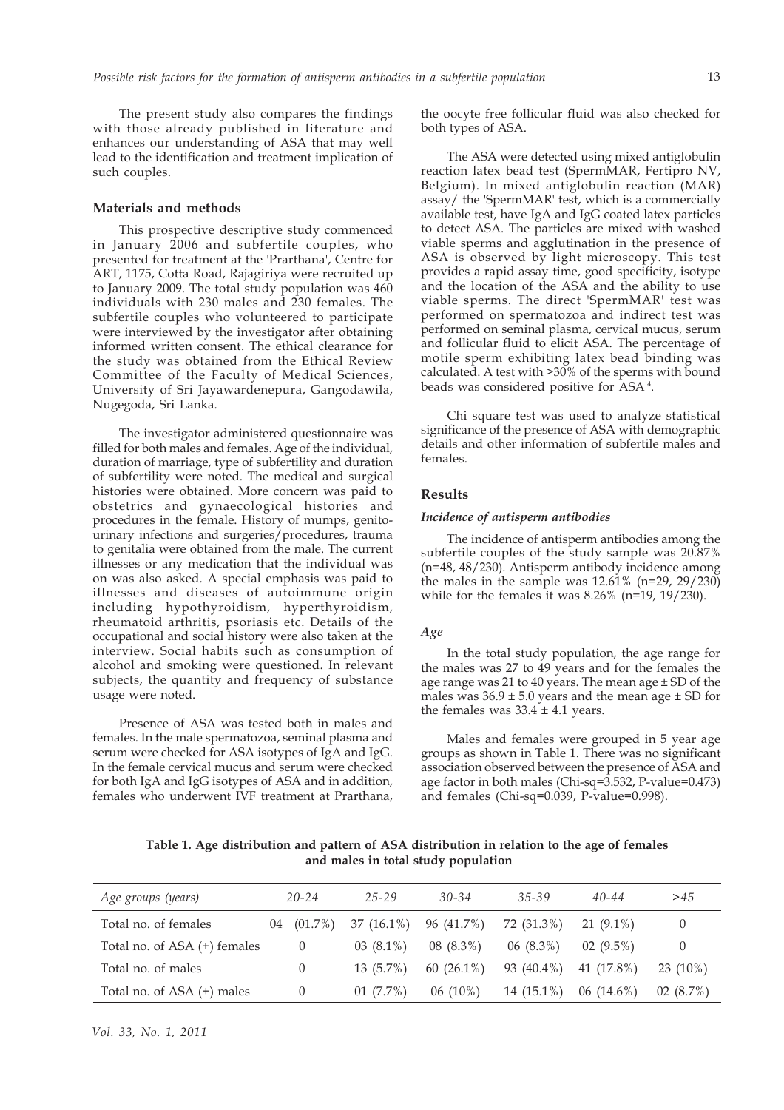The present study also compares the findings with those already published in literature and enhances our understanding of ASA that may well lead to the identification and treatment implication of such couples.

## **Materials and methods**

This prospective descriptive study commenced in January 2006 and subfertile couples, who presented for treatment at the 'Prarthana', Centre for ART, 1175, Cotta Road, Rajagiriya were recruited up to January 2009. The total study population was 460 individuals with 230 males and 230 females. The subfertile couples who volunteered to participate were interviewed by the investigator after obtaining informed written consent. The ethical clearance for the study was obtained from the Ethical Review Committee of the Faculty of Medical Sciences, University of Sri Jayawardenepura, Gangodawila, Nugegoda, Sri Lanka.

The investigator administered questionnaire was filled for both males and females. Age of the individual, duration of marriage, type of subfertility and duration of subfertility were noted. The medical and surgical histories were obtained. More concern was paid to obstetrics and gynaecological histories and procedures in the female. History of mumps, genitourinary infections and surgeries/procedures, trauma to genitalia were obtained from the male. The current illnesses or any medication that the individual was on was also asked. A special emphasis was paid to illnesses and diseases of autoimmune origin including hypothyroidism, hyperthyroidism, rheumatoid arthritis, psoriasis etc. Details of the occupational and social history were also taken at the interview. Social habits such as consumption of alcohol and smoking were questioned. In relevant subjects, the quantity and frequency of substance usage were noted.

Presence of ASA was tested both in males and females. In the male spermatozoa, seminal plasma and serum were checked for ASA isotypes of IgA and IgG. In the female cervical mucus and serum were checked for both IgA and IgG isotypes of ASA and in addition, females who underwent IVF treatment at Prarthana,

the oocyte free follicular fluid was also checked for both types of ASA.

The ASA were detected using mixed antiglobulin reaction latex bead test (SpermMAR, Fertipro NV, Belgium). In mixed antiglobulin reaction (MAR) assay/ the 'SpermMAR' test, which is a commercially available test, have IgA and IgG coated latex particles to detect ASA. The particles are mixed with washed viable sperms and agglutination in the presence of ASA is observed by light microscopy. This test provides a rapid assay time, good specificity, isotype and the location of the ASA and the ability to use viable sperms. The direct 'SpermMAR' test was performed on spermatozoa and indirect test was performed on seminal plasma, cervical mucus, serum and follicular fluid to elicit ASA. The percentage of motile sperm exhibiting latex bead binding was calculated. A test with >30% of the sperms with bound beads was considered positive for ASA'4 .

Chi square test was used to analyze statistical significance of the presence of ASA with demographic details and other information of subfertile males and females.

#### **Results**

#### *Incidence of antisperm antibodies*

The incidence of antisperm antibodies among the subfertile couples of the study sample was 20.87% (n=48, 48/230). Antisperm antibody incidence among the males in the sample was  $12.61\%$  (n=29, 29/230) while for the females it was 8.26% (n=19, 19/230).

#### *Age*

In the total study population, the age range for the males was 27 to 49 years and for the females the age range was 21 to 40 years. The mean age ± SD of the males was  $36.9 \pm 5.0$  years and the mean age  $\pm$  SD for the females was  $33.4 \pm 4.1$  years.

Males and females were grouped in 5 year age groups as shown in Table 1. There was no significant association observed between the presence of ASA and age factor in both males (Chi-sq=3.532, P-value=0.473) and females (Chi-sq=0.039, P-value=0.998).

**Table 1. Age distribution and pattern of ASA distribution in relation to the age of females and males in total study population**

| Age groups (years)           |    | $20 - 24$  | $25 - 29$    | $30 - 34$     | $35 - 39$   | $40 - 44$    | >45        |
|------------------------------|----|------------|--------------|---------------|-------------|--------------|------------|
| Total no. of females         | 04 | $(01.7\%)$ | $37(16.1\%)$ | 96 (41.7%)    | 72 (31.3%)  | $21(9.1\%)$  | $\theta$   |
| Total no. of ASA (+) females |    | $\theta$   | $03(8.1\%)$  | $08(8.3\%)$   | $06(8.3\%)$ | $02(9.5\%)$  | $\theta$   |
| Total no. of males           |    | $\Omega$   | $13(5.7\%)$  | 60 $(26.1\%)$ | 93 (40.4%)  | 41 (17.8%)   | $23(10\%)$ |
| Total no. of ASA (+) males   |    | $\theta$   | $01(7.7\%)$  | $06(10\%)$    | 14 (15.1%)  | $06(14.6\%)$ | 02(8.7%)   |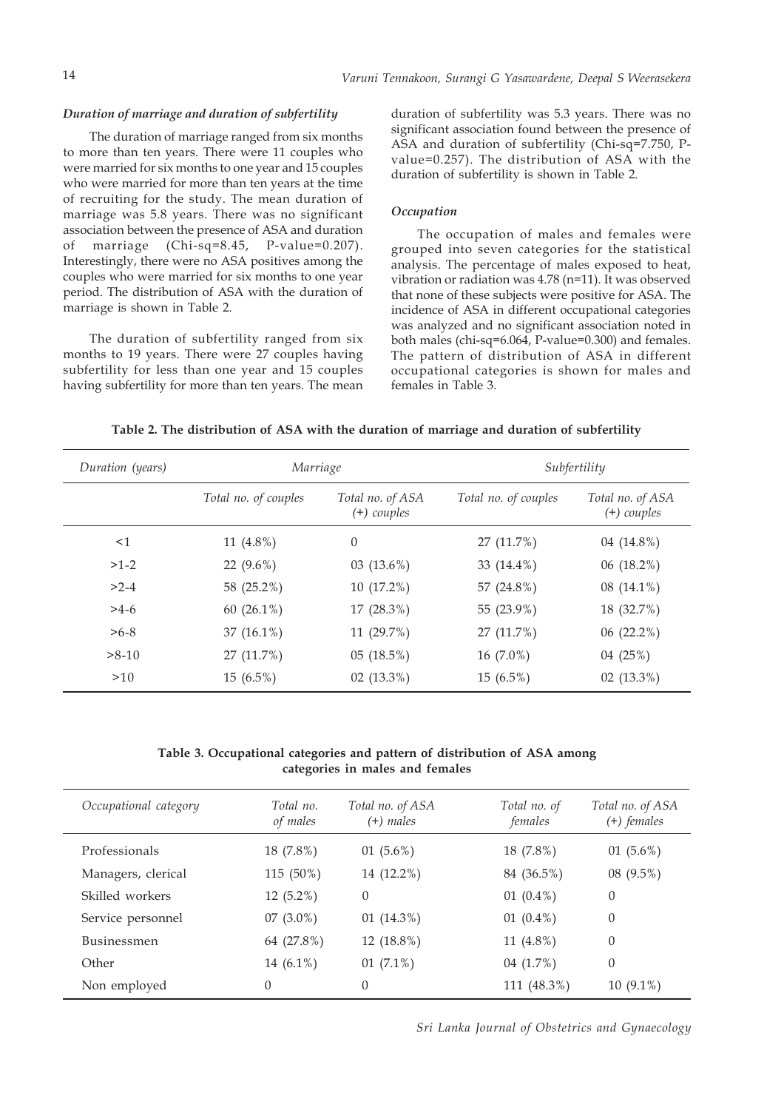#### *Duration of marriage and duration of subfertility*

The duration of marriage ranged from six months to more than ten years. There were 11 couples who were married for six months to one year and 15 couples who were married for more than ten years at the time of recruiting for the study. The mean duration of marriage was 5.8 years. There was no significant association between the presence of ASA and duration of marriage (Chi-sq=8.45, P-value=0.207). Interestingly, there were no ASA positives among the couples who were married for six months to one year period. The distribution of ASA with the duration of marriage is shown in Table 2.

The duration of subfertility ranged from six months to 19 years. There were 27 couples having subfertility for less than one year and 15 couples having subfertility for more than ten years. The mean

duration of subfertility was 5.3 years. There was no significant association found between the presence of ASA and duration of subfertility (Chi-sq=7.750, Pvalue=0.257). The distribution of ASA with the duration of subfertility is shown in Table 2.

## *Occupation*

The occupation of males and females were grouped into seven categories for the statistical analysis. The percentage of males exposed to heat, vibration or radiation was 4.78 (n=11). It was observed that none of these subjects were positive for ASA. The incidence of ASA in different occupational categories was analyzed and no significant association noted in both males (chi-sq=6.064, P-value=0.300) and females. The pattern of distribution of ASA in different occupational categories is shown for males and females in Table 3.

| Table 2. The distribution of ASA with the duration of marriage and duration of subfertility |  |  |  |
|---------------------------------------------------------------------------------------------|--|--|--|
|                                                                                             |  |  |  |

| Duration (years) | Marriage             |                                   | Subfertility         |                                   |  |
|------------------|----------------------|-----------------------------------|----------------------|-----------------------------------|--|
|                  | Total no. of couples | Total no. of ASA<br>$(+)$ couples | Total no. of couples | Total no. of ASA<br>$(+)$ couples |  |
| $\leq$ 1         | 11 $(4.8\%)$         | $\theta$                          | 27 (11.7%)           | 04 (14.8%)                        |  |
| $>1-2$           | 22 $(9.6\%)$         | $03(13.6\%)$                      | 33 $(14.4\%)$        | 06(18.2%)                         |  |
| $>2-4$           | 58 (25.2%)           | 10 (17.2%)                        | 57 (24.8%)           | 08 $(14.1\%)$                     |  |
| $>4-6$           | 60 $(26.1\%)$        | $17(28.3\%)$                      | 55 (23.9%)           | 18 (32.7%)                        |  |
| $>6-8$           | 37 $(16.1\%)$        | 11 (29.7%)                        | 27 (11.7%)           | 06(22.2%)                         |  |
| $>8-10$          | 27 (11.7%)           | 05(18.5%)                         | 16 (7.0%)            | 04 (25%)                          |  |
| >10              | $15(6.5\%)$          | $02(13.3\%)$                      | $15(6.5\%)$          | $02(13.3\%)$                      |  |

**Table 3. Occupational categories and pattern of distribution of ASA among categories in males and females**

| Occupational category | Total no.<br>of males | Total no. of ASA<br>$(+)$ males | Total no. of<br>females | Total no. of ASA<br>$(+)$ females |
|-----------------------|-----------------------|---------------------------------|-------------------------|-----------------------------------|
| Professionals         | 18 (7.8%)             | 01 $(5.6\%)$                    | 18 (7.8%)               | 01 $(5.6\%)$                      |
| Managers, clerical    | 115 (50%)             | 14 (12.2%)                      | 84 (36.5%)              | 08 (9.5%)                         |
| Skilled workers       | 12 (5.2%)             | $\theta$                        | 01 $(0.4\%)$            | $\mathbf{0}$                      |
| Service personnel     | $07(3.0\%)$           | 01 $(14.3\%)$                   | 01 $(0.4\%)$            | $\theta$                          |
| <b>Businessmen</b>    | 64 (27.8%)            | 12 (18.8%)                      | 11 (4.8%)               | $\boldsymbol{0}$                  |
| Other                 | 14 (6.1%)             | 01 $(7.1\%)$                    | 04 $(1.7\%)$            | $\theta$                          |
| Non employed          | $\theta$              | $\Omega$                        | 111 (48.3%)             | $10(9.1\%)$                       |

*Sri Lanka Journal of Obstetrics and Gynaecology*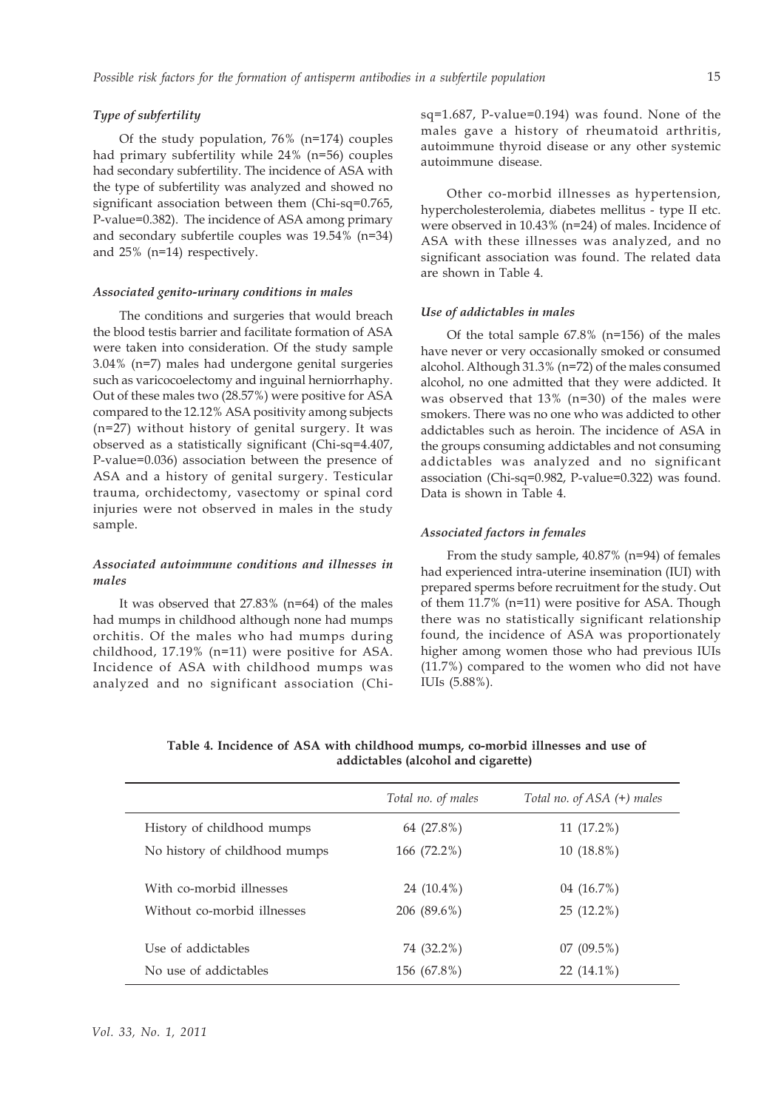# *Type of subfertility*

Of the study population, 76% (n=174) couples had primary subfertility while 24% (n=56) couples had secondary subfertility. The incidence of ASA with the type of subfertility was analyzed and showed no significant association between them (Chi-sq=0.765, P-value=0.382). The incidence of ASA among primary and secondary subfertile couples was 19.54% (n=34) and 25% (n=14) respectively.

#### *Associated genito-urinary conditions in males*

The conditions and surgeries that would breach the blood testis barrier and facilitate formation of ASA were taken into consideration. Of the study sample 3.04% (n=7) males had undergone genital surgeries such as varicocoelectomy and inguinal herniorrhaphy. Out of these males two (28.57%) were positive for ASA compared to the 12.12% ASA positivity among subjects (n=27) without history of genital surgery. It was observed as a statistically significant (Chi-sq=4.407, P-value=0.036) association between the presence of ASA and a history of genital surgery. Testicular trauma, orchidectomy, vasectomy or spinal cord injuries were not observed in males in the study sample.

# *Associated autoimmune conditions and illnesses in males*

It was observed that 27.83% (n=64) of the males had mumps in childhood although none had mumps orchitis. Of the males who had mumps during childhood, 17.19% (n=11) were positive for ASA. Incidence of ASA with childhood mumps was analyzed and no significant association (Chi-

Other co-morbid illnesses as hypertension, hypercholesterolemia, diabetes mellitus - type II etc. were observed in 10.43% (n=24) of males. Incidence of ASA with these illnesses was analyzed, and no significant association was found. The related data are shown in Table 4.

#### *Use of addictables in males*

Of the total sample 67.8% (n=156) of the males have never or very occasionally smoked or consumed alcohol. Although 31.3% (n=72) of the males consumed alcohol, no one admitted that they were addicted. It was observed that 13% (n=30) of the males were smokers. There was no one who was addicted to other addictables such as heroin. The incidence of ASA in the groups consuming addictables and not consuming addictables was analyzed and no significant association (Chi-sq=0.982, P-value=0.322) was found. Data is shown in Table 4.

#### *Associated factors in females*

From the study sample, 40.87% (n=94) of females had experienced intra-uterine insemination (IUI) with prepared sperms before recruitment for the study. Out of them 11.7% (n=11) were positive for ASA. Though there was no statistically significant relationship found, the incidence of ASA was proportionately higher among women those who had previous IUIs (11.7%) compared to the women who did not have IUIs (5.88%).

**Table 4. Incidence of ASA with childhood mumps, co-morbid illnesses and use of addictables (alcohol and cigarette)**

|                               | Total no. of males | Total no. of ASA (+) males |
|-------------------------------|--------------------|----------------------------|
| History of childhood mumps    | 64 (27.8%)         | 11(17.2%)                  |
| No history of childhood mumps | 166 (72.2%)        | $10(18.8\%)$               |
| With co-morbid illnesses      | 24 (10.4%)         | 04 (16.7%)                 |
| Without co-morbid illnesses   | 206 (89.6%)        | $25(12.2\%)$               |
| Use of addictables            | 74 (32.2%)         | 07(09.5%)                  |
| No use of addictables         | 156 (67.8%)        | $22(14.1\%)$               |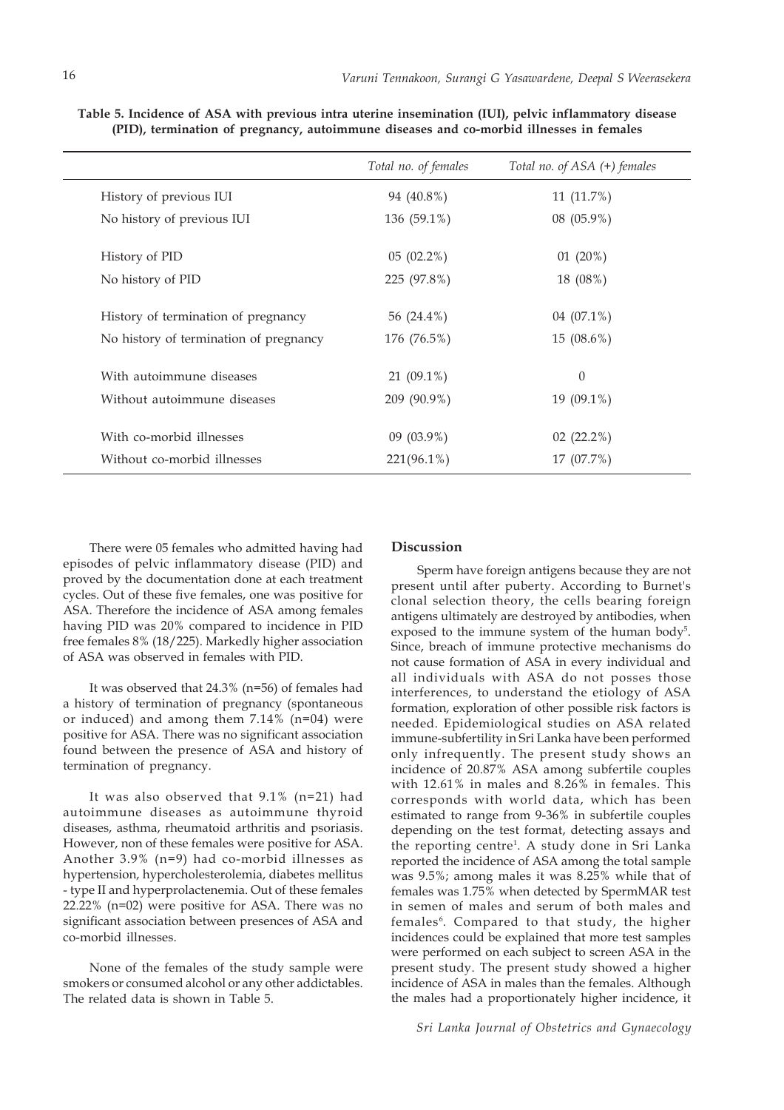|                                        | Total no. of females | Total no. of ASA (+) females |
|----------------------------------------|----------------------|------------------------------|
| History of previous IUI                | 94 (40.8%)           | $11(11.7\%)$                 |
| No history of previous IUI             | 136 (59.1%)          | 08 (05.9%)                   |
| History of PID                         | 05(02.2%)            | 01(20%)                      |
| No history of PID                      | 225 (97.8%)          | 18 (08%)                     |
| History of termination of pregnancy    | 56 (24.4%)           | 04 (07.1%)                   |
| No history of termination of pregnancy | 176 (76.5%)          | $15(08.6\%)$                 |
| With autoimmune diseases               | $21(09.1\%)$         | $\theta$                     |
| Without autoimmune diseases            | 209 (90.9%)          | 19 (09.1%)                   |
| With co-morbid illnesses               | $09(03.9\%)$         | $02(22.2\%)$                 |
| Without co-morbid illnesses            | $221(96.1\%)$        | 17 (07.7%)                   |

**Table 5. Incidence of ASA with previous intra uterine insemination (IUI), pelvic inflammatory disease (PID), termination of pregnancy, autoimmune diseases and co-morbid illnesses in females**

There were 05 females who admitted having had episodes of pelvic inflammatory disease (PID) and proved by the documentation done at each treatment cycles. Out of these five females, one was positive for ASA. Therefore the incidence of ASA among females having PID was 20% compared to incidence in PID free females 8% (18/225). Markedly higher association of ASA was observed in females with PID.

It was observed that 24.3% (n=56) of females had a history of termination of pregnancy (spontaneous or induced) and among them 7.14% (n=04) were positive for ASA. There was no significant association found between the presence of ASA and history of termination of pregnancy.

It was also observed that 9.1% (n=21) had autoimmune diseases as autoimmune thyroid diseases, asthma, rheumatoid arthritis and psoriasis. However, non of these females were positive for ASA. Another 3.9% (n=9) had co-morbid illnesses as hypertension, hypercholesterolemia, diabetes mellitus - type II and hyperprolactenemia. Out of these females 22.22% (n=02) were positive for ASA. There was no significant association between presences of ASA and co-morbid illnesses.

None of the females of the study sample were smokers or consumed alcohol or any other addictables. The related data is shown in Table 5.

#### **Discussion**

Sperm have foreign antigens because they are not present until after puberty. According to Burnet's clonal selection theory, the cells bearing foreign antigens ultimately are destroyed by antibodies, when exposed to the immune system of the human body<sup>5</sup>. Since, breach of immune protective mechanisms do not cause formation of ASA in every individual and all individuals with ASA do not posses those interferences, to understand the etiology of ASA formation, exploration of other possible risk factors is needed. Epidemiological studies on ASA related immune-subfertility in Sri Lanka have been performed only infrequently. The present study shows an incidence of 20.87% ASA among subfertile couples with 12.61% in males and 8.26% in females. This corresponds with world data, which has been estimated to range from 9-36% in subfertile couples depending on the test format, detecting assays and the reporting centre<sup>1</sup>. A study done in Sri Lanka reported the incidence of ASA among the total sample was 9.5%; among males it was 8.25% while that of females was 1.75% when detected by SpermMAR test in semen of males and serum of both males and females<sup>6</sup>. Compared to that study, the higher incidences could be explained that more test samples were performed on each subject to screen ASA in the present study. The present study showed a higher incidence of ASA in males than the females. Although the males had a proportionately higher incidence, it

*Sri Lanka Journal of Obstetrics and Gynaecology*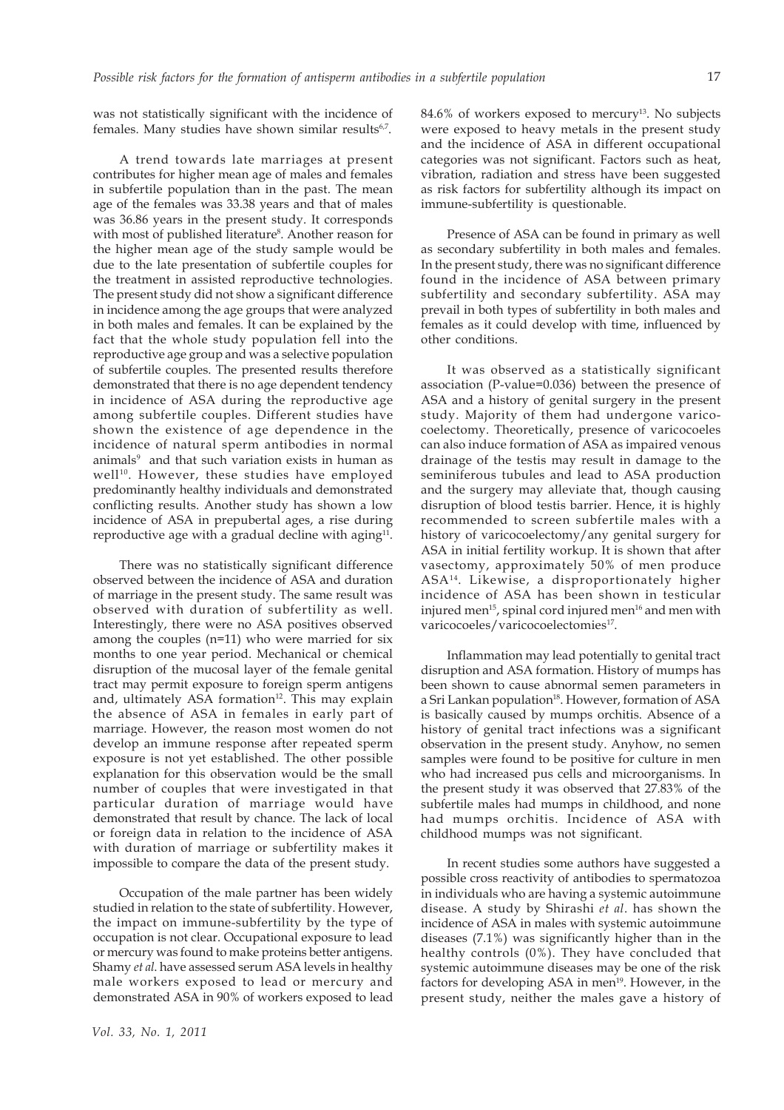was not statistically significant with the incidence of females. Many studies have shown similar results<sup>6,7</sup>.

A trend towards late marriages at present contributes for higher mean age of males and females in subfertile population than in the past. The mean age of the females was 33.38 years and that of males was 36.86 years in the present study. It corresponds with most of published literature<sup>8</sup>. Another reason for the higher mean age of the study sample would be due to the late presentation of subfertile couples for the treatment in assisted reproductive technologies. The present study did not show a significant difference in incidence among the age groups that were analyzed in both males and females. It can be explained by the fact that the whole study population fell into the reproductive age group and was a selective population of subfertile couples. The presented results therefore demonstrated that there is no age dependent tendency in incidence of ASA during the reproductive age among subfertile couples. Different studies have shown the existence of age dependence in the incidence of natural sperm antibodies in normal animals<sup>9</sup> and that such variation exists in human as well<sup>10</sup>. However, these studies have employed predominantly healthy individuals and demonstrated conflicting results. Another study has shown a low incidence of ASA in prepubertal ages, a rise during reproductive age with a gradual decline with aging $11$ .

There was no statistically significant difference observed between the incidence of ASA and duration of marriage in the present study. The same result was observed with duration of subfertility as well. Interestingly, there were no ASA positives observed among the couples (n=11) who were married for six months to one year period. Mechanical or chemical disruption of the mucosal layer of the female genital tract may permit exposure to foreign sperm antigens and, ultimately ASA formation<sup>12</sup>. This may explain the absence of ASA in females in early part of marriage. However, the reason most women do not develop an immune response after repeated sperm exposure is not yet established. The other possible explanation for this observation would be the small number of couples that were investigated in that particular duration of marriage would have demonstrated that result by chance. The lack of local or foreign data in relation to the incidence of ASA with duration of marriage or subfertility makes it impossible to compare the data of the present study.

Occupation of the male partner has been widely studied in relation to the state of subfertility. However, the impact on immune-subfertility by the type of occupation is not clear. Occupational exposure to lead or mercury was found to make proteins better antigens. Shamy *et al*. have assessed serum ASA levels in healthy male workers exposed to lead or mercury and demonstrated ASA in 90% of workers exposed to lead  $84.6\%$  of workers exposed to mercury<sup>13</sup>. No subjects were exposed to heavy metals in the present study and the incidence of ASA in different occupational categories was not significant. Factors such as heat, vibration, radiation and stress have been suggested as risk factors for subfertility although its impact on immune-subfertility is questionable.

Presence of ASA can be found in primary as well as secondary subfertility in both males and females. In the present study, there was no significant difference found in the incidence of ASA between primary subfertility and secondary subfertility. ASA may prevail in both types of subfertility in both males and females as it could develop with time, influenced by other conditions.

It was observed as a statistically significant association (P-value=0.036) between the presence of ASA and a history of genital surgery in the present study. Majority of them had undergone varicocoelectomy. Theoretically, presence of varicocoeles can also induce formation of ASA as impaired venous drainage of the testis may result in damage to the seminiferous tubules and lead to ASA production and the surgery may alleviate that, though causing disruption of blood testis barrier. Hence, it is highly recommended to screen subfertile males with a history of varicocoelectomy/any genital surgery for ASA in initial fertility workup. It is shown that after vasectomy, approximately 50% of men produce ASA14. Likewise, a disproportionately higher incidence of ASA has been shown in testicular injured men<sup>15</sup>, spinal cord injured men<sup>16</sup> and men with varicocoeles/varicocoelectomies<sup>17</sup>.

Inflammation may lead potentially to genital tract disruption and ASA formation. History of mumps has been shown to cause abnormal semen parameters in a Sri Lankan population<sup>18</sup>. However, formation of ASA is basically caused by mumps orchitis. Absence of a history of genital tract infections was a significant observation in the present study. Anyhow, no semen samples were found to be positive for culture in men who had increased pus cells and microorganisms. In the present study it was observed that 27.83% of the subfertile males had mumps in childhood, and none had mumps orchitis. Incidence of ASA with childhood mumps was not significant.

In recent studies some authors have suggested a possible cross reactivity of antibodies to spermatozoa in individuals who are having a systemic autoimmune disease. A study by Shirashi *et al*. has shown the incidence of ASA in males with systemic autoimmune diseases (7.1%) was significantly higher than in the healthy controls (0%). They have concluded that systemic autoimmune diseases may be one of the risk factors for developing ASA in men<sup>19</sup>. However, in the present study, neither the males gave a history of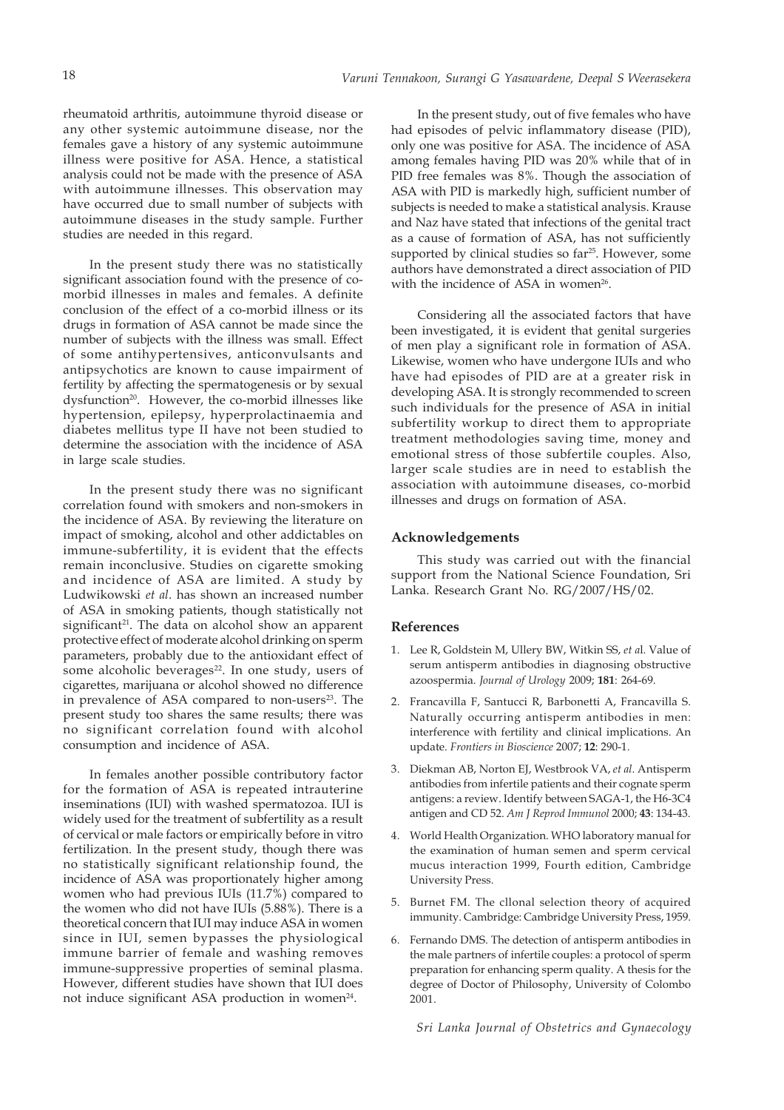rheumatoid arthritis, autoimmune thyroid disease or any other systemic autoimmune disease, nor the females gave a history of any systemic autoimmune illness were positive for ASA. Hence, a statistical analysis could not be made with the presence of ASA with autoimmune illnesses. This observation may have occurred due to small number of subjects with autoimmune diseases in the study sample. Further studies are needed in this regard.

In the present study there was no statistically significant association found with the presence of comorbid illnesses in males and females. A definite conclusion of the effect of a co-morbid illness or its drugs in formation of ASA cannot be made since the number of subjects with the illness was small. Effect of some antihypertensives, anticonvulsants and antipsychotics are known to cause impairment of fertility by affecting the spermatogenesis or by sexual dysfunction<sup>20</sup>. However, the co-morbid illnesses like hypertension, epilepsy, hyperprolactinaemia and diabetes mellitus type II have not been studied to determine the association with the incidence of ASA in large scale studies.

In the present study there was no significant correlation found with smokers and non-smokers in the incidence of ASA. By reviewing the literature on impact of smoking, alcohol and other addictables on immune-subfertility, it is evident that the effects remain inconclusive. Studies on cigarette smoking and incidence of ASA are limited. A study by Ludwikowski *et al*. has shown an increased number of ASA in smoking patients, though statistically not significant $2<sup>1</sup>$ . The data on alcohol show an apparent protective effect of moderate alcohol drinking on sperm parameters, probably due to the antioxidant effect of some alcoholic beverages<sup>22</sup>. In one study, users of cigarettes, marijuana or alcohol showed no difference in prevalence of ASA compared to non-users<sup>23</sup>. The present study too shares the same results; there was no significant correlation found with alcohol consumption and incidence of ASA.

In females another possible contributory factor for the formation of ASA is repeated intrauterine inseminations (IUI) with washed spermatozoa. IUI is widely used for the treatment of subfertility as a result of cervical or male factors or empirically before in vitro fertilization. In the present study, though there was no statistically significant relationship found, the incidence of ASA was proportionately higher among women who had previous IUIs (11.7%) compared to the women who did not have IUIs (5.88%). There is a theoretical concern that IUI may induce ASA in women since in IUI, semen bypasses the physiological immune barrier of female and washing removes immune-suppressive properties of seminal plasma. However, different studies have shown that IUI does not induce significant ASA production in women<sup>24</sup>.

In the present study, out of five females who have had episodes of pelvic inflammatory disease (PID), only one was positive for ASA. The incidence of ASA among females having PID was 20% while that of in PID free females was 8%. Though the association of ASA with PID is markedly high, sufficient number of subjects is needed to make a statistical analysis. Krause and Naz have stated that infections of the genital tract as a cause of formation of ASA, has not sufficiently supported by clinical studies so far<sup>25</sup>. However, some authors have demonstrated a direct association of PID with the incidence of ASA in women<sup>26</sup>.

Considering all the associated factors that have been investigated, it is evident that genital surgeries of men play a significant role in formation of ASA. Likewise, women who have undergone IUIs and who have had episodes of PID are at a greater risk in developing ASA. It is strongly recommended to screen such individuals for the presence of ASA in initial subfertility workup to direct them to appropriate treatment methodologies saving time, money and emotional stress of those subfertile couples. Also, larger scale studies are in need to establish the association with autoimmune diseases, co-morbid illnesses and drugs on formation of ASA.

#### **Acknowledgements**

This study was carried out with the financial support from the National Science Foundation, Sri Lanka. Research Grant No. RG/2007/HS/02.

#### **References**

- 1. Lee R, Goldstein M, Ullery BW, Witkin SS, *et a*l. Value of serum antisperm antibodies in diagnosing obstructive azoospermia. *Journal of Urology* 2009; **181**: 264-69.
- 2. Francavilla F, Santucci R, Barbonetti A, Francavilla S. Naturally occurring antisperm antibodies in men: interference with fertility and clinical implications. An update. *Frontiers in Bioscience* 2007; **12**: 290-1.
- 3. Diekman AB, Norton EJ, Westbrook VA, *et al*. Antisperm antibodies from infertile patients and their cognate sperm antigens: a review. Identify between SAGA-1, the H6-3C4 antigen and CD 52. *Am J Reprod Immunol* 2000; **43**: 134-43.
- 4. World Health Organization. WHO laboratory manual for the examination of human semen and sperm cervical mucus interaction 1999, Fourth edition, Cambridge University Press.
- 5. Burnet FM. The cllonal selection theory of acquired immunity. Cambridge: Cambridge University Press, 1959.
- 6. Fernando DMS. The detection of antisperm antibodies in the male partners of infertile couples: a protocol of sperm preparation for enhancing sperm quality. A thesis for the degree of Doctor of Philosophy, University of Colombo 2001.

*Sri Lanka Journal of Obstetrics and Gynaecology*